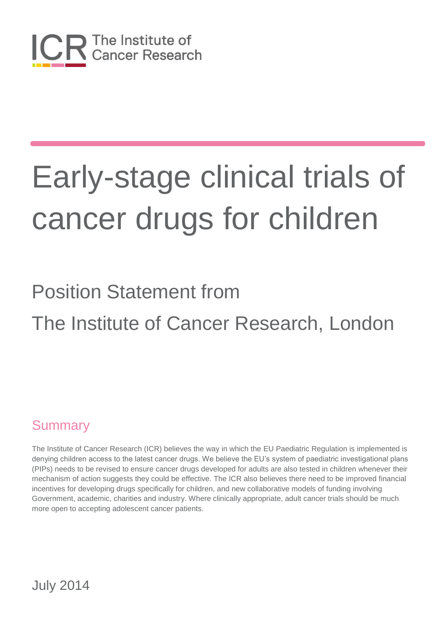

# Position Statement from The Institute of Cancer Research, London

#### **Summary**

The Institute of Cancer Research (ICR) believes the way in which the EU Paediatric Regulation is implemented is denying children access to the latest cancer drugs. We believe the EU's system of paediatric investigational plans (PIPs) needs to be revised to ensure cancer drugs developed for adults are also tested in children whenever their mechanism of action suggests they could be effective. The ICR also believes there need to be improved financial incentives for developing drugs specifically for children, and new collaborative models of funding involving Government, academic, charities and industry. Where clinically appropriate, adult cancer trials should be much more open to accepting adolescent cancer patients.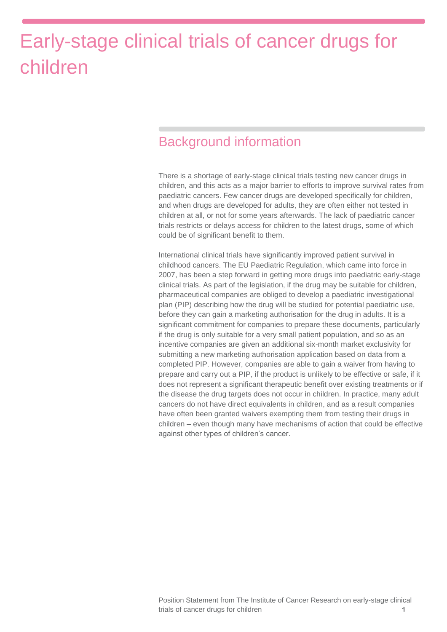#### Background information

There is a shortage of early-stage clinical trials testing new cancer drugs in children, and this acts as a major barrier to efforts to improve survival rates from paediatric cancers. Few cancer drugs are developed specifically for children, and when drugs are developed for adults, they are often either not tested in children at all, or not for some years afterwards. The lack of paediatric cancer trials restricts or delays access for children to the latest drugs, some of which could be of significant benefit to them.

International clinical trials have significantly improved patient survival in childhood cancers. The EU Paediatric Regulation, which came into force in 2007, has been a step forward in getting more drugs into paediatric early-stage clinical trials. As part of the legislation, if the drug may be suitable for children, pharmaceutical companies are obliged to develop a paediatric investigational plan (PIP) describing how the drug will be studied for potential paediatric use, before they can gain a marketing authorisation for the drug in adults. It is a significant commitment for companies to prepare these documents, particularly if the drug is only suitable for a very small patient population, and so as an incentive companies are given an additional six-month market exclusivity for submitting a new marketing authorisation application based on data from a completed PIP. However, companies are able to gain a waiver from having to prepare and carry out a PIP, if the product is unlikely to be effective or safe, if it does not represent a significant therapeutic benefit over existing treatments or if the disease the drug targets does not occur in children. In practice, many adult cancers do not have direct equivalents in children, and as a result companies have often been granted waivers exempting them from testing their drugs in children – even though many have mechanisms of action that could be effective against other types of children's cancer.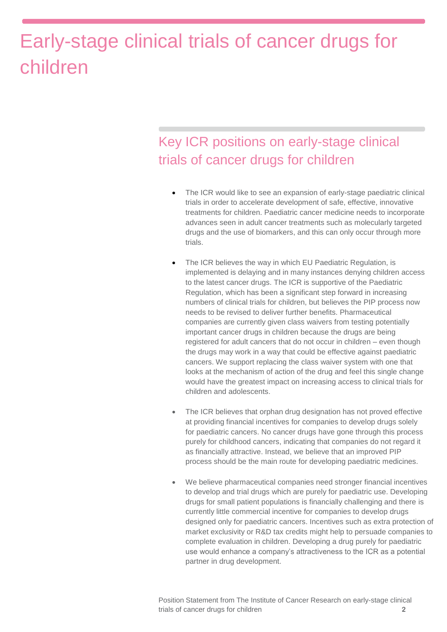#### Key ICR positions on early-stage clinical trials of cancer drugs for children

- The ICR would like to see an expansion of early-stage paediatric clinical trials in order to accelerate development of safe, effective, innovative treatments for children. Paediatric cancer medicine needs to incorporate advances seen in adult cancer treatments such as molecularly targeted drugs and the use of biomarkers, and this can only occur through more trials.
- The ICR believes the way in which EU Paediatric Regulation, is implemented is delaying and in many instances denying children access to the latest cancer drugs. The ICR is supportive of the Paediatric Regulation, which has been a significant step forward in increasing numbers of clinical trials for children, but believes the PIP process now needs to be revised to deliver further benefits. Pharmaceutical companies are currently given class waivers from testing potentially important cancer drugs in children because the drugs are being registered for adult cancers that do not occur in children – even though the drugs may work in a way that could be effective against paediatric cancers. We support replacing the class waiver system with one that looks at the mechanism of action of the drug and feel this single change would have the greatest impact on increasing access to clinical trials for children and adolescents.
- The ICR believes that orphan drug designation has not proved effective at providing financial incentives for companies to develop drugs solely for paediatric cancers. No cancer drugs have gone through this process purely for childhood cancers, indicating that companies do not regard it as financially attractive. Instead, we believe that an improved PIP process should be the main route for developing paediatric medicines.
- We believe pharmaceutical companies need stronger financial incentives to develop and trial drugs which are purely for paediatric use. Developing drugs for small patient populations is financially challenging and there is currently little commercial incentive for companies to develop drugs designed only for paediatric cancers. Incentives such as extra protection of market exclusivity or R&D tax credits might help to persuade companies to complete evaluation in children. Developing a drug purely for paediatric use would enhance a company's attractiveness to the ICR as a potential partner in drug development.